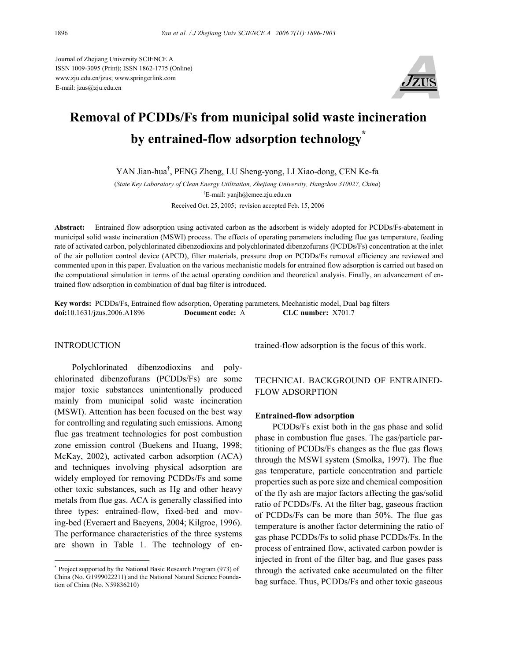Journal of Zhejiang University SCIENCE A ISSN 1009-3095 (Print); ISSN 1862-1775 (Online) www.zju.edu.cn/jzus; www.springerlink.com E-mail: jzus@zju.edu.cn



# **Removal of PCDDs/Fs from municipal solid waste incineration by entrained-flow adsorption technology\***

YAN Jian-hua† , PENG Zheng, LU Sheng-yong, LI Xiao-dong, CEN Ke-fa

(*State Key Laboratory of Clean Energy Utilization, Zhejiang University, Hangzhou 310027, China*) † E-mail: yanjh@cmee.zju.edu.cn Received Oct. 25, 2005; revision accepted Feb. 15, 2006

**Abstract:** Entrained flow adsorption using activated carbon as the adsorbent is widely adopted for PCDDs/Fs-abatement in municipal solid waste incineration (MSWI) process. The effects of operating parameters including flue gas temperature, feeding rate of activated carbon, polychlorinated dibenzodioxins and polychlorinated dibenzofurans (PCDDs/Fs) concentration at the inlet of the air pollution control device (APCD), filter materials, pressure drop on PCDDs/Fs removal efficiency are reviewed and commented upon in this paper. Evaluation on the various mechanistic models for entrained flow adsorption is carried out based on the computational simulation in terms of the actual operating condition and theoretical analysis. Finally, an advancement of entrained flow adsorption in combination of dual bag filter is introduced.

**Key words:** PCDDs/Fs, Entrained flow adsorption, Operating parameters, Mechanistic model, Dual bag filters **doi:**10.1631/jzus.2006.A1896 **Document code:** A **CLC number:** X701.7

#### INTRODUCTION

Polychlorinated dibenzodioxins and polychlorinated dibenzofurans (PCDDs/Fs) are some major toxic substances unintentionally produced mainly from municipal solid waste incineration (MSWI). Attention has been focused on the best way for controlling and regulating such emissions. Among flue gas treatment technologies for post combustion zone emission control (Buekens and Huang, 1998; McKay, 2002), activated carbon adsorption (ACA) and techniques involving physical adsorption are widely employed for removing PCDDs/Fs and some other toxic substances, such as Hg and other heavy metals from flue gas. ACA is generally classified into three types: entrained-flow, fixed-bed and moving-bed (Everaert and Baeyens, 2004; Kilgroe, 1996). The performance characteristics of the three systems are shown in Table 1. The technology of entrained-flow adsorption is the focus of this work.

## TECHNICAL BACKGROUND OF ENTRAINED-FLOW ADSORPTION

#### **Entrained-flow adsorption**

PCDDs/Fs exist both in the gas phase and solid phase in combustion flue gases. The gas/particle partitioning of PCDDs/Fs changes as the flue gas flows through the MSWI system (Smolka, 1997). The flue gas temperature, particle concentration and particle properties such as pore size and chemical composition of the fly ash are major factors affecting the gas/solid ratio of PCDDs/Fs. At the filter bag, gaseous fraction of PCDDs/Fs can be more than 50%. The flue gas temperature is another factor determining the ratio of gas phase PCDDs/Fs to solid phase PCDDs/Fs. In the process of entrained flow, activated carbon powder is injected in front of the filter bag, and flue gases pass through the activated cake accumulated on the filter bag surface. Thus, PCDDs/Fs and other toxic gaseous

<sup>\*</sup> Project supported by the National Basic Research Program (973) of China (No. G1999022211) and the National Natural Science Foundation of China (No. N59836210)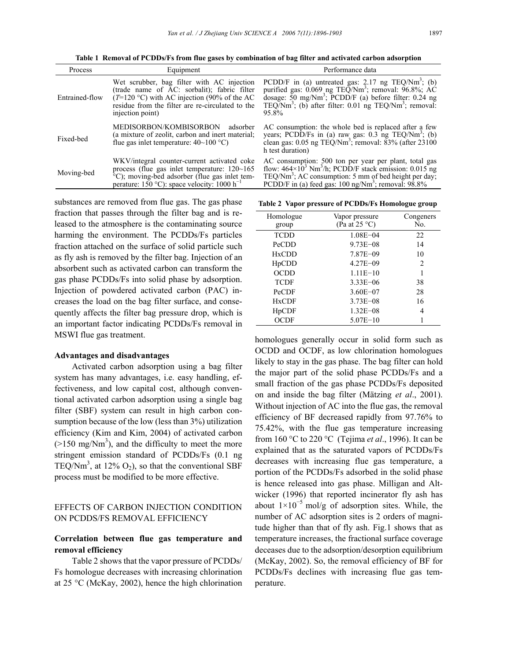**Table 1 Removal of PCDDs/Fs from flue gases by combination of bag filter and activated carbon adsorption** 

| Process        | Equipment                                                                                                                                                                                                                 | Performance data                                                                                                                                                                                                                                                                                                  |
|----------------|---------------------------------------------------------------------------------------------------------------------------------------------------------------------------------------------------------------------------|-------------------------------------------------------------------------------------------------------------------------------------------------------------------------------------------------------------------------------------------------------------------------------------------------------------------|
| Entrained-flow | Wet scrubber, bag filter with AC injection<br>(trade name of AC: sorbalit); fabric filter<br>$(T=120 \degree C)$ with AC injection (90% of the AC<br>residue from the filter are re-circulated to the<br>injection point) | PCDD/F in (a) untreated gas: $2.17$ ng TEQ/Nm <sup>3</sup> ; (b)<br>purified gas: $0.069$ ng TEQ/Nm <sup>3</sup> ; removal: $96.8\%$ ; AC<br>dosage: $50 \text{ mg}/\text{Nm}^3$ ; PCDD/F (a) before filter: 0.24 ng<br>TEO/Nm <sup>3</sup> ; (b) after filter: $0.01$ ng TEO/Nm <sup>3</sup> ; removal:<br>95.8% |
| Fixed-bed      | MEDISORBON/KOMBISORBON<br>adsorber<br>(a mixture of zeolit, carbon and inert material;<br>flue gas inlet temperature: $40\text{~}100\text{ °C}$ )                                                                         | AC consumption: the whole bed is replaced after a few<br>years; PCDD/Fs in (a) raw gas: $0.3$ ng TEQ/Nm <sup>3</sup> ; (b)<br>clean gas: $0.05$ ng TEQ/Nm <sup>3</sup> ; removal: $83\%$ (after $23100$ )<br>h test duration)                                                                                     |
| Moving-bed     | WKV/integral counter-current activated coke<br>process (flue gas in tet temperature: $120~165$<br>°C); moving-bed adsorber (flue gas inlet tem-<br>perature: 150 °C): space velocity: 1000 $h^{-1}$                       | AC consumption: 500 ton per year per plant, total gas<br>flow: $464 \times 10^3$ Nm <sup>3</sup> /h; PCDD/F stack emission: 0.015 ng<br>TEQ/Nm <sup>3</sup> ; AC consumption: 5 mm of bed height per day;<br>PCDD/F in (a) feed gas: $100 \text{ ng}/\text{Nm}^3$ ; removal: $98.8\%$                             |

substances are removed from flue gas. The gas phase fraction that passes through the filter bag and is released to the atmosphere is the contaminating source harming the environment. The PCDDs/Fs particles fraction attached on the surface of solid particle such as fly ash is removed by the filter bag. Injection of an absorbent such as activated carbon can transform the gas phase PCDDs/Fs into solid phase by adsorption. Injection of powdered activated carbon (PAC) increases the load on the bag filter surface, and consequently affects the filter bag pressure drop, which is an important factor indicating PCDDs/Fs removal in MSWI flue gas treatment.

#### **Advantages and disadvantages**

Activated carbon adsorption using a bag filter system has many advantages, i.e. easy handling, effectiveness, and low capital cost, although conventional activated carbon adsorption using a single bag filter (SBF) system can result in high carbon consumption because of the low (less than 3%) utilization efficiency (Kim and Kim, 2004) of activated carbon  $(>150 \text{ mg}/\text{Nm}^3)$ , and the difficulty to meet the more stringent emission standard of PCDDs/Fs (0.1 ng TEQ/Nm<sup>3</sup>, at 12%  $O_2$ ), so that the conventional SBF process must be modified to be more effective.

## EFFECTS OF CARBON INJECTION CONDITION ON PCDDS/FS REMOVAL EFFICIENCY

## **Correlation between flue gas temperature and removal efficiency**

Table 2 shows that the vapor pressure of PCDDs/ Fs homologue decreases with increasing chlorination at 25 °C (McKay, 2002), hence the high chlorination

**Table 2 Vapor pressure of PCDDs/Fs Homologue group** 

| Homologue<br>group             | Vapor pressure<br>(Pa at $25^{\circ}$ C) | Congeners<br>No. |
|--------------------------------|------------------------------------------|------------------|
| <b>TCDD</b>                    | $1.08E - 04$                             | 22               |
| PeCDD                          | $9.73E - 08$                             | 14               |
| <b>HxCDD</b>                   | $7.87E - 09$                             | 10               |
| H <sub>p</sub> CD <sub>D</sub> | $4.27E - 09$                             | 2                |
| OCDD                           | $1.11E - 10$                             |                  |
| <b>TCDF</b>                    | $3.33E - 06$                             | 38               |
| PeCDF                          | $3.60E - 07$                             | 28               |
| <b>HxCDF</b>                   | $3.73E - 08$                             | 16               |
| HpCDF                          | $1.32E - 08$                             | 4                |
| <b>OCDF</b>                    | $5.07E - 10$                             |                  |

homologues generally occur in solid form such as OCDD and OCDF, as low chlorination homologues likely to stay in the gas phase. The bag filter can hold the major part of the solid phase PCDDs/Fs and a small fraction of the gas phase PCDDs/Fs deposited on and inside the bag filter (Mätzing *et al*., 2001). Without injection of AC into the flue gas, the removal efficiency of BF decreased rapidly from 97.76% to 75.42%, with the flue gas temperature increasing from 160 °C to 220 °C (Tejima *et al*., 1996). It can be explained that as the saturated vapors of PCDDs/Fs decreases with increasing flue gas temperature, a portion of the PCDDs/Fs adsorbed in the solid phase is hence released into gas phase. Milligan and Altwicker (1996) that reported incinerator fly ash has about  $1\times10^{-5}$  mol/g of adsorption sites. While, the number of AC adsorption sites is 2 orders of magnitude higher than that of fly ash. Fig.1 shows that as temperature increases, the fractional surface coverage deceases due to the adsorption/desorption equilibrium (McKay, 2002). So, the removal efficiency of BF for PCDDs/Fs declines with increasing flue gas temperature.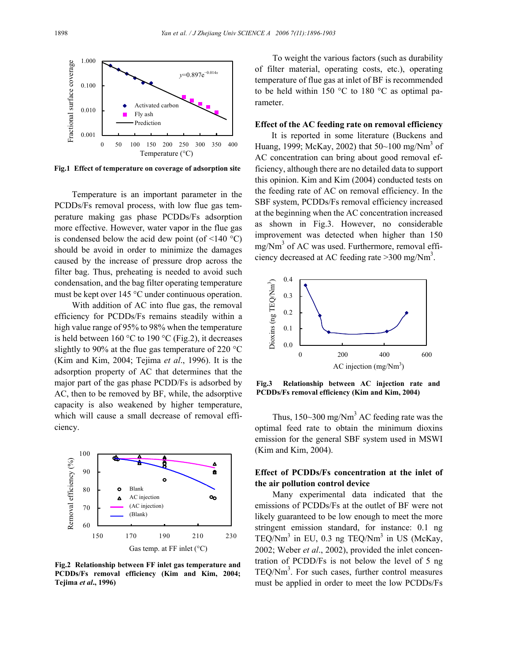

**Fig.1 Effect of temperature on coverage of adsorption site** 

Temperature is an important parameter in the PCDDs/Fs removal process, with low flue gas temperature making gas phase PCDDs/Fs adsorption more effective. However, water vapor in the flue gas is condensed below the acid dew point (of  $\leq$ 140 °C) should be avoid in order to minimize the damages caused by the increase of pressure drop across the filter bag. Thus, preheating is needed to avoid such condensation, and the bag filter operating temperature must be kept over 145 °C under continuous operation.

With addition of AC into flue gas, the removal efficiency for PCDDs/Fs remains steadily within a high value range of 95% to 98% when the temperature is held between  $160^{\circ}$ C to  $190^{\circ}$ C (Fig.2), it decreases slightly to 90% at the flue gas temperature of 220  $^{\circ}$ C (Kim and Kim, 2004; Tejima *et al*., 1996). It is the adsorption property of AC that determines that the major part of the gas phase PCDD/Fs is adsorbed by AC, then to be removed by BF, while, the adsorptive capacity is also weakened by higher temperature, which will cause a small decrease of removal efficiency.



**Fig.2 Relationship between FF inlet gas temperature and PCDDs/Fs removal efficiency (Kim and Kim, 2004; Tejima** *et al***., 1996)** 

To weight the various factors (such as durability of filter material, operating costs, etc.), operating temperature of flue gas at inlet of BF is recommended to be held within 150 °C to 180 °C as optimal parameter.

## **Effect of the AC feeding rate on removal efficiency**

It is reported in some literature (Buckens and Huang, 1999; McKay, 2002) that  $50~100 \text{ mg/Nm}^3$  of AC concentration can bring about good removal efficiency, although there are no detailed data to support this opinion. Kim and Kim (2004) conducted tests on the feeding rate of AC on removal efficiency. In the SBF system, PCDDs/Fs removal efficiency increased at the beginning when the AC concentration increased as shown in Fig.3. However, no considerable improvement was detected when higher than 150 mg/Nm<sup>3</sup> of AC was used. Furthermore, removal efficiency decreased at AC feeding rate  $>300$  mg/Nm<sup>3</sup>.



**Fig.3 Relationship between AC injection rate and PCDDs/Fs removal efficiency (Kim and Kim, 2004)** 

Thus,  $150 \sim 300 \text{ mg/Nm}^3$  AC feeding rate was the optimal feed rate to obtain the minimum dioxins emission for the general SBF system used in MSWI (Kim and Kim, 2004).

## **Effect of PCDDs/Fs concentration at the inlet of the air pollution control device**

Many experimental data indicated that the emissions of PCDDs/Fs at the outlet of BF were not likely guaranteed to be low enough to meet the more stringent emission standard, for instance: 0.1 ng TEQ/Nm<sup>3</sup> in EU, 0.3 ng TEQ/Nm<sup>3</sup> in US (McKay, 2002; Weber *et al*., 2002), provided the inlet concentration of PCDD/Fs is not below the level of 5 ng  $TEQ/Nm<sup>3</sup>$ . For such cases, further control measures must be applied in order to meet the low PCDDs/Fs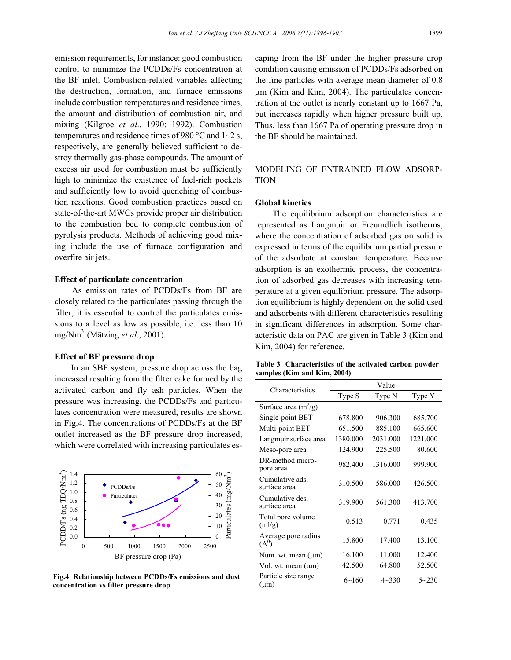emission requirements, for instance: good combustion control to minimize the PCDDs/Fs concentration at the BF inlet. Combustion-related variables affecting the destruction, formation, and furnace emissions include combustion temperatures and residence times, the amount and distribution of combustion air, and mixing (Kilgroe *et al*., 1990; 1992). Combustion temperatures and residence times of 980  $^{\circ}$ C and 1 $\sim$ 2 s, respectively, are generally believed sufficient to destroy thermally gas-phase compounds. The amount of excess air used for combustion must be sufficiently high to minimize the existence of fuel-rich pockets and sufficiently low to avoid quenching of combustion reactions. Good combustion practices based on state-of-the-art MWCs provide proper air distribution to the combustion bed to complete combustion of pyrolysis products. Methods of achieving good mixing include the use of furnace configuration and overfire air jets.

#### **Effect of particulate concentration**

As emission rates of PCDDs/Fs from BF are closely related to the particulates passing through the filter, it is essential to control the particulates emissions to a level as low as possible, i.e. less than 10 mg/Nm3 (Mätzing *et al*., 2001).

### **Effect of BF pressure drop**

In an SBF system, pressure drop across the bag increased resulting from the filter cake formed by the activated carbon and fly ash particles. When the pressure was increasing, the PCDDs/Fs and particulates concentration were measured, results are shown in Fig.4. The concentrations of PCDDs/Fs at the BF outlet increased as the BF pressure drop increased, which were correlated with increasing particulates es-



**Fig.4 Relationship between PCDDs/Fs emissions and dust concentration vs filter pressure drop** 

caping from the BF under the higher pressure drop condition causing emission of PCDDs/Fs adsorbed on the fine particles with average mean diameter of 0.8 µm (Kim and Kim, 2004). The particulates concentration at the outlet is nearly constant up to 1667 Pa, but increases rapidly when higher pressure built up. Thus, less than 1667 Pa of operating pressure drop in the BF should be maintained.

MODELING OF ENTRAINED FLOW ADSORP-**TION** 

### **Global kinetics**

The equilibrium adsorption characteristics are represented as Langmuir or Freumdlich isotherms, where the concentration of adsorbed gas on solid is expressed in terms of the equilibrium partial pressure of the adsorbate at constant temperature. Because adsorption is an exothermic process, the concentration of adsorbed gas decreases with increasing temperature at a given equilibrium pressure. The adsorption equilibrium is highly dependent on the solid used and adsorbents with different characteristics resulting in significant differences in adsorption. Some characteristic data on PAC are given in Table 3 (Kim and Kim, 2004) for reference.

| Table 3 Characteristics of the activated carbon powder |  |  |
|--------------------------------------------------------|--|--|
| samples (Kim and Kim, 2004)                            |  |  |

| Characteristics                  | Value     |           |           |  |
|----------------------------------|-----------|-----------|-----------|--|
|                                  | Type S    | Type N    | Type Y    |  |
| Surface area $(m^2/g)$           |           |           |           |  |
| Single-point BET                 | 678.800   | 906.300   | 685.700   |  |
| Multi-point BET                  | 651.500   | 885.100   | 665.600   |  |
| Langmuir surface area            | 1380.000  | 2031.000  | 1221.000  |  |
| Meso-pore area                   | 124.900   | 225.500   | 80.600    |  |
| DR-method micro-<br>pore area    | 982.400   | 1316.000  | 999.900   |  |
| Cumulative ads.<br>surface area  | 310.500   | 586.000   | 426.500   |  |
| Cumulative des.<br>surface area  | 319.900   | 561.300   | 413.700   |  |
| Total pore volume<br>(ml/g)      | 0.513     | 0.771     | 0.435     |  |
| Average pore radius<br>$(A^0)$   | 15.800    | 17.400    | 13.100    |  |
| Num. wt. mean $(\mu m)$          | 16.100    | 11.000    | 12.400    |  |
| Vol. wt. mean $(\mu m)$          | 42.500    | 64.800    | 52.500    |  |
| Particle size range<br>$(\mu m)$ | $6 - 160$ | $4 - 330$ | $5 - 230$ |  |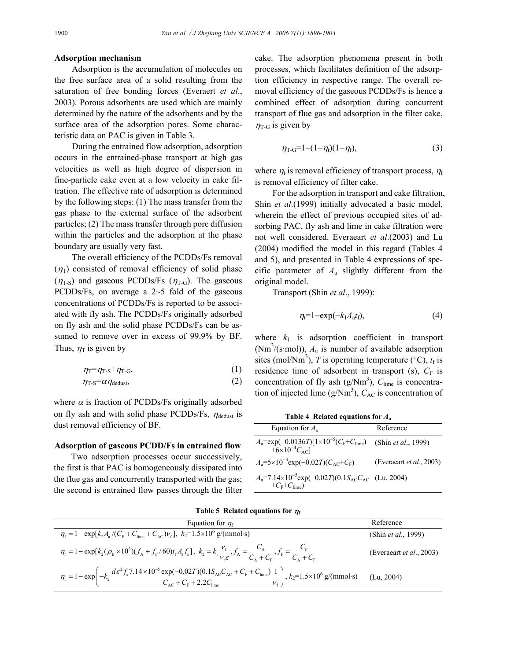#### **Adsorption mechanism**

Adsorption is the accumulation of molecules on the free surface area of a solid resulting from the saturation of free bonding forces (Everaert *et al*., 2003). Porous adsorbents are used which are mainly determined by the nature of the adsorbents and by the surface area of the adsorption pores. Some characteristic data on PAC is given in Table 3.

During the entrained flow adsorption, adsorption occurs in the entrained-phase transport at high gas velocities as well as high degree of dispersion in fine-particle cake even at a low velocity in cake filtration. The effective rate of adsorption is determined by the following steps: (1) The mass transfer from the gas phase to the external surface of the adsorbent particles; (2) The mass transfer through pore diffusion within the particles and the adsorption at the phase boundary are usually very fast.

The overall efficiency of the PCDDs/Fs removal  $(\eta_T)$  consisted of removal efficiency of solid phase  $(\eta_{T-S})$  and gaseous PCDDs/Fs  $(\eta_{T-G})$ . The gaseous PCDDs/Fs, on average a 2~5 fold of the gaseous concentrations of PCDDs/Fs is reported to be associated with fly ash. The PCDDs/Fs originally adsorbed on fly ash and the solid phase PCDDs/Fs can be assumed to remove over in excess of 99.9% by BF. Thus,  $\eta_T$  is given by

$$
\eta_{\rm T} = \eta_{\rm T-S} + \eta_{\rm T-G},\tag{1}
$$

$$
\eta_{\text{T-S}} = \alpha \eta_{\text{dedust}},\tag{2}
$$

where  $\alpha$  is fraction of PCDDs/Fs originally adsorbed on fly ash and with solid phase PCDDs/Fs,  $\eta_{\text{dedust}}$  is dust removal efficiency of BF.

#### **Adsorption of gaseous PCDD/Fs in entrained flow**

Two adsorption processes occur successively, the first is that PAC is homogeneously dissipated into the flue gas and concurrently transported with the gas; the second is entrained flow passes through the filter cake. The adsorption phenomena present in both processes, which facilitates definition of the adsorption efficiency in respective range. The overall removal efficiency of the gaseous PCDDs/Fs is hence a combined effect of adsorption during concurrent transport of flue gas and adsorption in the filter cake,  $\eta_{\text{T-G}}$  is given by

$$
\eta_{T-G} = 1 - (1 - \eta_t)(1 - \eta_f),\tag{3}
$$

where  $\eta_t$  is removal efficiency of transport process,  $\eta_f$ is removal efficiency of filter cake.

For the adsorption in transport and cake filtration, Shin *et al*.(1999) initially advocated a basic model, wherein the effect of previous occupied sites of adsorbing PAC, fly ash and lime in cake filtration were not well considered. Everaeart *et al*.(2003) and Lu (2004) modified the model in this regard (Tables 4 and 5), and presented in Table 4 expressions of specific parameter of *A*<sup>a</sup> slightly different from the original model.

Transport (Shin *et al*., 1999):

$$
\eta_{\rm t} = 1 - \exp(-k_{\rm 1}A_{\rm a}t_{\rm f}),\tag{4}
$$

where  $k_1$  is adsorption coefficient in transport (Nm<sup>3</sup>/(s·mol)),  $A_a$  is number of available adsorption sites (mol/Nm<sup>3</sup>), *T* is operating temperature (°C),  $t_f$  is residence time of adsorbent in transport (s),  $C_F$  is concentration of fly ash  $(g/Nm^3)$ ,  $C_{\text{lime}}$  is concentration of injected lime  $(g/Nm^3)$ ,  $C_{AC}$  is concentration of

**Table 4 Related equations for** *A***<sup>a</sup>**

| Equation for $A_{\rm a}$                                                                                                                       | Reference                        |
|------------------------------------------------------------------------------------------------------------------------------------------------|----------------------------------|
| $A_{\rm a}$ =exp(-0.0136 <i>T</i> )[1×10 <sup>-5</sup> ( $C_{\rm F}$ + $C_{\rm lime}$ ) (Shin <i>et al.</i> , 1999)<br>$+6\times10^{-4}C_{AC}$ |                                  |
| $A_a = 5 \times 10^{-3} \exp(-0.02T)(C_{AC} + C_F)$                                                                                            | (Everaeart <i>et al.</i> , 2003) |
| $A_a$ =7.14×10 <sup>-5</sup> exp(-0.02 <i>T</i> )(0.1S <sub>AC</sub> C <sub>AC</sub> (Lu, 2004)<br>$+C_{\rm F}+C_{\rm line}$                   |                                  |

| Equation for $\eta_f$                                                                                                                                                                                                                                                        | Reference                   |
|------------------------------------------------------------------------------------------------------------------------------------------------------------------------------------------------------------------------------------------------------------------------------|-----------------------------|
| $\eta_{\rm f} = 1 - \exp[k_2 A_{\rm a}/(C_{\rm F} + C_{\rm line} + C_{\rm AC})v_{\rm f}]$ , $k_2 = 1.5 \times 10^6$ g/(mmol·s)                                                                                                                                               | (Shin <i>et al.</i> , 1999) |
| $\eta_{\rm f} = 1 - \exp[k_2(\rho_{\rm B} \times 10^3)(f_{\rm A} + f_{\rm F}/60)t_{\rm f}A_{\rm s}f_{\rm s}], k_2 = k_1 \frac{V_{\rm f}}{V_{\rm f}\mathcal{E}}, f_{\rm A} = \frac{C_{\rm A}}{C_{\rm A} + C_{\rm F}}, f_{\rm F} = \frac{C_{\rm F}}{C_{\rm A} + C_{\rm F}}$    | (Everaeart et al., 2003)    |
| $\eta_{\rm f} = 1 - \exp\left(-k_2 \frac{d\epsilon^2 f_{\rm s} 7.14 \times 10^{-5} \exp(-0.02T)(0.1 S_{\rm AC} C_{\rm AC} + C_{\rm F} + C_{\rm line})}{C_{\rm AC} + C_{\rm F} + 2.2 C_{\rm line}}\right), k_2 = 1.5 \times 10^6 \text{ g/(mmol·s)} \qquad \text{(Lu, 2004)}$ |                             |

## **Table 5 Related equations for** <sup>η</sup>**<sup>f</sup>**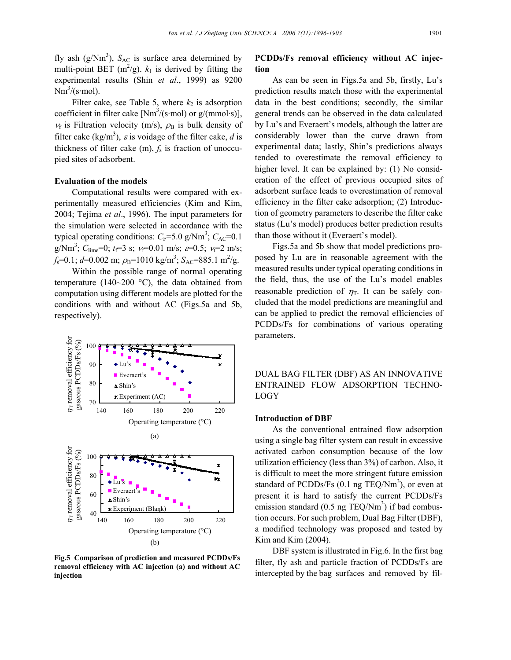fly ash  $(g/Nm^3)$ ,  $S_{AC}$  is surface area determined by multi-point BET ( $m^2/g$ ).  $k_1$  is derived by fitting the experimental results (Shin *et al*., 1999) as 9200  $Nm^3/(s \cdot mol)$ .

Filter cake, see Table 5, where  $k_2$  is adsorption coefficient in filter cake  $[Nm^3/(s \mod 3)]$ ,  $v_f$  is Filtration velocity (m/s),  $\rho_B$  is bulk density of filter cake (kg/m<sup>3</sup>),  $\varepsilon$  is voidage of the filter cake, *d* is thickness of filter cake  $(m)$ ,  $f_s$  is fraction of unoccupied sites of adsorbent.

#### **Evaluation of the models**

Computational results were compared with experimentally measured efficiencies (Kim and Kim, 2004; Tejima *et al*., 1996). The input parameters for the simulation were selected in accordance with the typical operating conditions:  $C_F$ =5.0 g/Nm<sup>3</sup>;  $C_{AC}$ =0.1 g/Nm<sup>3</sup>;  $C_{\text{line}}=0$ ;  $t_f=3$  s;  $v_f=0.01$  m/s;  $\varepsilon=0.5$ ;  $v_f=2$  m/s;  $f_s$ =0.1; *d*=0.002 m;  $\rho_B$ =1010 kg/m<sup>3</sup>; *S*<sub>AC</sub>=885.1 m<sup>2</sup>/g.

Within the possible range of normal operating temperature (140~200  $^{\circ}$ C), the data obtained from computation using different models are plotted for the conditions with and without AC (Figs.5a and 5b, respectively).

#### $\eta$ <sub>r</sub> removal efficiency for m removal efficiency for gaseous PCDDs/Fs (%) gaseous PCDDs/Fs (%) 100 90 Lu's Everaert's 80 Shin's Experiment (AC) 70 140 160 180 200 220 Operating temperature (°C) (a)  $\eta$ <sub>r</sub> removal efficiency for m removal efficiency for gaseous PCDDs/Fs (%) gaseous PCDDs/Fs (%) 100  $\boldsymbol{x}$ 80 ×х Lu's **E**veraert's 60 Shin's Experiment (Blank)  $40\frac{1}{140}$ 140 160 180 200 220 Operating temperature (°C) (b)

**Fig.5 Comparison of prediction and measured PCDDs/Fs removal efficiency with AC injection (a) and without AC injection** 

## **PCDDs/Fs removal efficiency without AC injection**

As can be seen in Figs.5a and 5b, firstly, Lu's prediction results match those with the experimental data in the best conditions; secondly, the similar general trends can be observed in the data calculated by Lu's and Everaert's models, although the latter are considerably lower than the curve drawn from experimental data; lastly, Shin's predictions always tended to overestimate the removal efficiency to higher level. It can be explained by: (1) No consideration of the effect of previous occupied sites of adsorbent surface leads to overestimation of removal efficiency in the filter cake adsorption; (2) Introduction of geometry parameters to describe the filter cake status (Lu's model) produces better prediction results than those without it (Everaert's model).

Figs.5a and 5b show that model predictions proposed by Lu are in reasonable agreement with the measured results under typical operating conditions in the field, thus, the use of the Lu's model enables reasonable prediction of  $\eta$ <sub>T</sub>. It can be safely concluded that the model predictions are meaningful and can be applied to predict the removal efficiencies of PCDDs/Fs for combinations of various operating parameters.

DUAL BAG FILTER (DBF) AS AN INNOVATIVE ENTRAINED FLOW ADSORPTION TECHNO-LOGY

#### **Introduction of DBF**

As the conventional entrained flow adsorption using a single bag filter system can result in excessive activated carbon consumption because of the low utilization efficiency (less than 3%) of carbon. Also, it is difficult to meet the more stringent future emission standard of PCDDs/Fs  $(0.1 \text{ ng} \text{ TEQ/Nm}^3)$ , or even at present it is hard to satisfy the current PCDDs/Fs emission standard  $(0.5 \text{ ng} \text{ TEQ/Nm}^3)$  if bad combustion occurs. For such problem, Dual Bag Filter (DBF), a modified technology was proposed and tested by Kim and Kim (2004).

DBF system is illustrated in Fig.6. In the first bag filter, fly ash and particle fraction of PCDDs/Fs are intercepted by the bag surfaces and removed by fil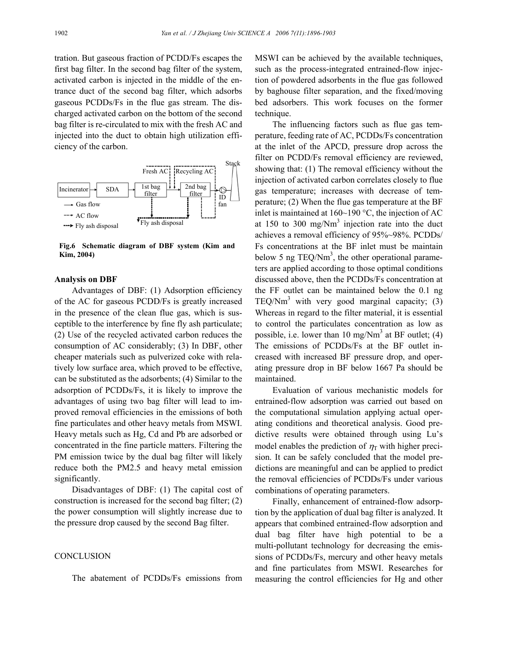tration. But gaseous fraction of PCDD/Fs escapes the first bag filter. In the second bag filter of the system, activated carbon is injected in the middle of the entrance duct of the second bag filter, which adsorbs gaseous PCDDs/Fs in the flue gas stream. The discharged activated carbon on the bottom of the second bag filter is re-circulated to mix with the fresh AC and injected into the duct to obtain high utilization efficiency of the carbon.



**Fig.6 Schematic diagram of DBF system (Kim and Kim, 2004)** 

#### **Analysis on DBF**

Advantages of DBF: (1) Adsorption efficiency of the AC for gaseous PCDD/Fs is greatly increased in the presence of the clean flue gas, which is susceptible to the interference by fine fly ash particulate; (2) Use of the recycled activated carbon reduces the consumption of AC considerably; (3) In DBF, other cheaper materials such as pulverized coke with relatively low surface area, which proved to be effective, can be substituted as the adsorbents; (4) Similar to the adsorption of PCDDs/Fs, it is likely to improve the advantages of using two bag filter will lead to improved removal efficiencies in the emissions of both fine particulates and other heavy metals from MSWI. Heavy metals such as Hg, Cd and Pb are adsorbed or concentrated in the fine particle matters. Filtering the PM emission twice by the dual bag filter will likely reduce both the PM2.5 and heavy metal emission significantly.

Disadvantages of DBF: (1) The capital cost of construction is increased for the second bag filter; (2) the power consumption will slightly increase due to the pressure drop caused by the second Bag filter.

### **CONCLUSION**

The abatement of PCDDs/Fs emissions from

MSWI can be achieved by the available techniques, such as the process-integrated entrained-flow injection of powdered adsorbents in the flue gas followed by baghouse filter separation, and the fixed/moving bed adsorbers. This work focuses on the former technique.

The influencing factors such as flue gas temperature, feeding rate of AC, PCDDs/Fs concentration at the inlet of the APCD, pressure drop across the filter on PCDD/Fs removal efficiency are reviewed, showing that: (1) The removal efficiency without the injection of activated carbon correlates closely to flue gas temperature; increases with decrease of temperature; (2) When the flue gas temperature at the BF inlet is maintained at  $160~190$  °C, the injection of AC at 150 to 300 mg/ $Nm<sup>3</sup>$  injection rate into the duct achieves a removal efficiency of 95%~98%. PCDDs/ Fs concentrations at the BF inlet must be maintain below 5 ng  $TEQ/Nm<sup>3</sup>$ , the other operational parameters are applied according to those optimal conditions discussed above, then the PCDDs/Fs concentration at the FF outlet can be maintained below the 0.1 ng TEQ/Nm<sup>3</sup> with very good marginal capacity;  $(3)$ Whereas in regard to the filter material, it is essential to control the particulates concentration as low as possible, i.e. lower than 10 mg/Nm<sup>3</sup> at BF outlet; (4) The emissions of PCDDs/Fs at the BF outlet increased with increased BF pressure drop, and operating pressure drop in BF below 1667 Pa should be maintained.

Evaluation of various mechanistic models for entrained-flow adsorption was carried out based on the computational simulation applying actual operating conditions and theoretical analysis. Good predictive results were obtained through using Lu's model enables the prediction of  $\eta_{\text{T}}$  with higher precision. It can be safely concluded that the model predictions are meaningful and can be applied to predict the removal efficiencies of PCDDs/Fs under various combinations of operating parameters.

Finally, enhancement of entrained-flow adsorption by the application of dual bag filter is analyzed. It appears that combined entrained-flow adsorption and dual bag filter have high potential to be a multi-pollutant technology for decreasing the emissions of PCDDs/Fs, mercury and other heavy metals and fine particulates from MSWI. Researches for measuring the control efficiencies for Hg and other